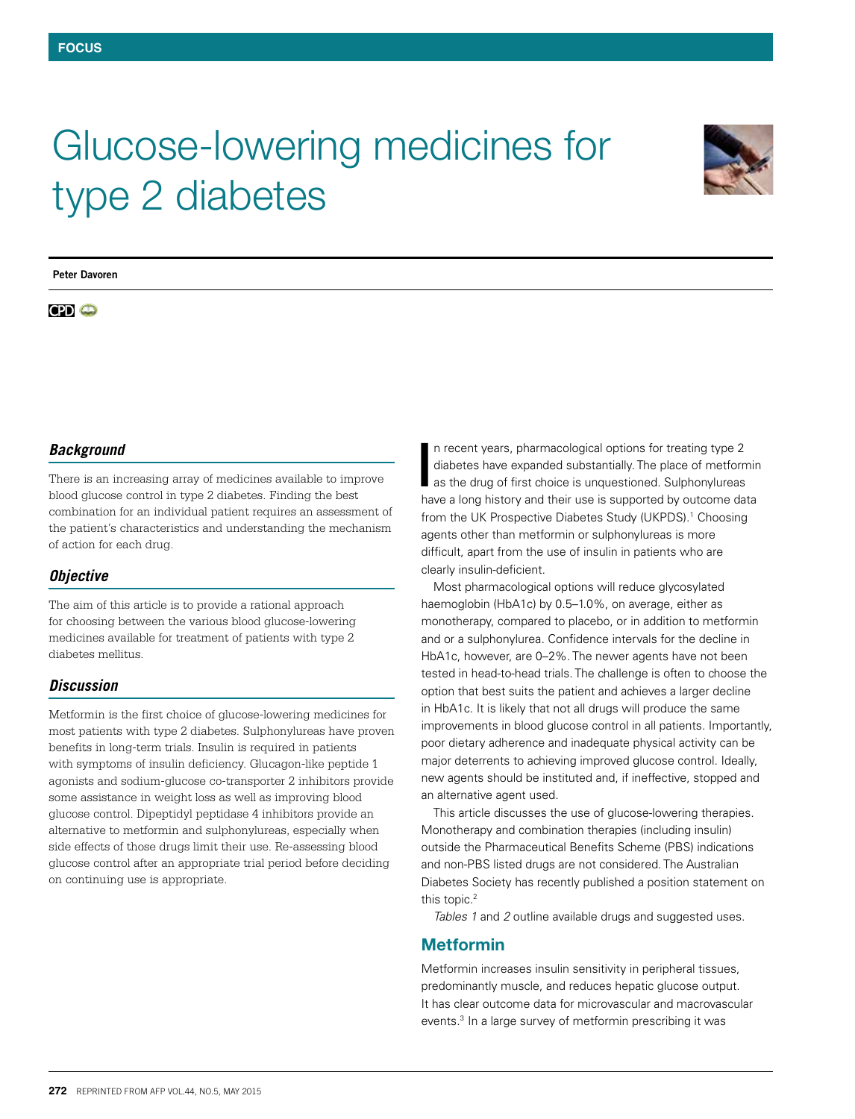# Glucose-lowering medicines for type 2 diabetes



**Peter Davoren**

# $CD<sub>o</sub>$

## *Background*

There is an increasing array of medicines available to improve blood glucose control in type 2 diabetes. Finding the best combination for an individual patient requires an assessment of the patient's characteristics and understanding the mechanism of action for each drug.

## *Objective*

The aim of this article is to provide a rational approach for choosing between the various blood glucose-lowering medicines available for treatment of patients with type 2 diabetes mellitus.

## *Discussion*

Metformin is the first choice of glucose-lowering medicines for most patients with type 2 diabetes. Sulphonylureas have proven benefits in long-term trials. Insulin is required in patients with symptoms of insulin deficiency. Glucagon-like peptide 1 agonists and sodium-glucose co-transporter 2 inhibitors provide some assistance in weight loss as well as improving blood glucose control. Dipeptidyl peptidase 4 inhibitors provide an alternative to metformin and sulphonylureas, especially when side effects of those drugs limit their use. Re-assessing blood glucose control after an appropriate trial period before deciding on continuing use is appropriate.

n recent years, pharmacological options for treating type 2 diabetes have expanded substantially. The place of metformin as the drug of first choice is unquestioned. Sulphonylureas In recent years, pharmacological options for treating type 2 diabetes have expanded substantially. The place of metformine as the drug of first choice is unquestioned. Sulphonylureas have a long history and their use is su from the UK Prospective Diabetes Study (UKPDS).<sup>1</sup> Choosing agents other than metformin or sulphonylureas is more difficult, apart from the use of insulin in patients who are clearly insulin-deficient.

Most pharmacological options will reduce glycosylated haemoglobin (HbA1c) by 0.5–1.0%, on average, either as monotherapy, compared to placebo, or in addition to metformin and or a sulphonylurea. Confidence intervals for the decline in HbA1c, however, are 0–2%. The newer agents have not been tested in head-to-head trials. The challenge is often to choose the option that best suits the patient and achieves a larger decline in HbA1c. It is likely that not all drugs will produce the same improvements in blood glucose control in all patients. Importantly, poor dietary adherence and inadequate physical activity can be major deterrents to achieving improved glucose control. Ideally, new agents should be instituted and, if ineffective, stopped and an alternative agent used.

This article discusses the use of glucose-lowering therapies. Monotherapy and combination therapies (including insulin) outside the Pharmaceutical Benefits Scheme (PBS) indications and non-PBS listed drugs are not considered. The Australian Diabetes Society has recently published a position statement on this topic.<sup>2</sup>

*Tables 1* and *2* outline available drugs and suggested uses.

## Metformin

Metformin increases insulin sensitivity in peripheral tissues, predominantly muscle, and reduces hepatic glucose output. It has clear outcome data for microvascular and macrovascular events.<sup>3</sup> In a large survey of metformin prescribing it was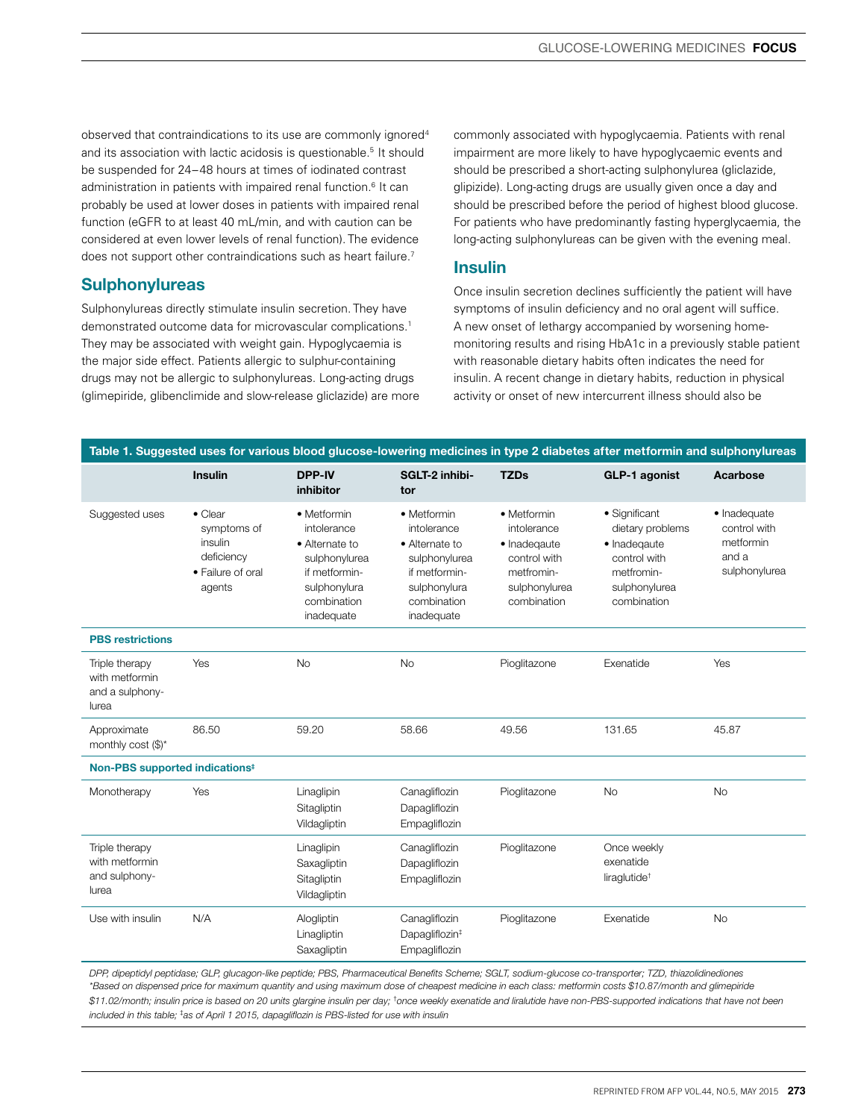observed that contraindications to its use are commonly ignored4 and its association with lactic acidosis is questionable.5 It should be suspended for 24–48 hours at times of iodinated contrast administration in patients with impaired renal function.<sup>6</sup> It can probably be used at lower doses in patients with impaired renal function (eGFR to at least 40 mL/min, and with caution can be considered at even lower levels of renal function). The evidence does not support other contraindications such as heart failure.<sup>7</sup>

## **Sulphonylureas**

Sulphonylureas directly stimulate insulin secretion. They have demonstrated outcome data for microvascular complications.1 They may be associated with weight gain. Hypoglycaemia is the major side effect. Patients allergic to sulphur-containing drugs may not be allergic to sulphonylureas. Long-acting drugs (glimepiride, glibenclimide and slow-release gliclazide) are more commonly associated with hypoglycaemia. Patients with renal impairment are more likely to have hypoglycaemic events and should be prescribed a short-acting sulphonylurea (gliclazide, glipizide). Long-acting drugs are usually given once a day and should be prescribed before the period of highest blood glucose. For patients who have predominantly fasting hyperglycaemia, the long-acting sulphonylureas can be given with the evening meal.

### Insulin

Once insulin secretion declines sufficiently the patient will have symptoms of insulin deficiency and no oral agent will suffice. A new onset of lethargy accompanied by worsening homemonitoring results and rising HbA1c in a previously stable patient with reasonable dietary habits often indicates the need for insulin. A recent change in dietary habits, reduction in physical activity or onset of new intercurrent illness should also be

| Table 1. Suggested uses for various blood glucose-lowering medicines in type 2 diabetes after metformin and sulphonylureas |                                                                                        |                                                                                                                             |                                                                                                                             |                                                                                                          |                                                                                                                 |                                                                     |  |
|----------------------------------------------------------------------------------------------------------------------------|----------------------------------------------------------------------------------------|-----------------------------------------------------------------------------------------------------------------------------|-----------------------------------------------------------------------------------------------------------------------------|----------------------------------------------------------------------------------------------------------|-----------------------------------------------------------------------------------------------------------------|---------------------------------------------------------------------|--|
|                                                                                                                            | <b>Insulin</b>                                                                         | <b>DPP-IV</b><br>inhibitor                                                                                                  | SGLT-2 inhibi-<br>tor                                                                                                       | <b>TZDs</b>                                                                                              | <b>GLP-1 agonist</b>                                                                                            | Acarbose                                                            |  |
| Suggested uses                                                                                                             | $\bullet$ Clear<br>symptoms of<br>insulin<br>deficiency<br>• Failure of oral<br>agents | • Metformin<br>intolerance<br>• Alternate to<br>sulphonylurea<br>if metformin-<br>sulphonylura<br>combination<br>inadequate | • Metformin<br>intolerance<br>• Alternate to<br>sulphonylurea<br>if metformin-<br>sulphonylura<br>combination<br>inadequate | • Metformin<br>intolerance<br>· Inadeqaute<br>control with<br>metfromin-<br>sulphonylurea<br>combination | • Significant<br>dietary problems<br>· Inadegaute<br>control with<br>metfromin-<br>sulphonylurea<br>combination | · Inadequate<br>control with<br>metformin<br>and a<br>sulphonylurea |  |
| <b>PBS</b> restrictions                                                                                                    |                                                                                        |                                                                                                                             |                                                                                                                             |                                                                                                          |                                                                                                                 |                                                                     |  |
| Triple therapy<br>with metformin<br>and a sulphony-<br>lurea                                                               | Yes                                                                                    | No                                                                                                                          | No                                                                                                                          | Pioglitazone                                                                                             | Exenatide                                                                                                       | Yes                                                                 |  |
| Approximate<br>monthly cost $(\$\)^*$                                                                                      | 86.50                                                                                  | 59.20                                                                                                                       | 58.66                                                                                                                       | 49.56                                                                                                    | 131.65                                                                                                          | 45.87                                                               |  |
| Non-PBS supported indications <sup>#</sup>                                                                                 |                                                                                        |                                                                                                                             |                                                                                                                             |                                                                                                          |                                                                                                                 |                                                                     |  |
| Monotherapy                                                                                                                | Yes                                                                                    | Linaglipin<br>Sitagliptin<br>Vildagliptin                                                                                   | Canagliflozin<br>Dapagliflozin<br>Empagliflozin                                                                             | Pioglitazone                                                                                             | <b>No</b>                                                                                                       | <b>No</b>                                                           |  |
| Triple therapy<br>with metformin<br>and sulphony-<br>lurea                                                                 |                                                                                        | Linaglipin<br>Saxagliptin<br>Sitagliptin<br>Vildagliptin                                                                    | Canagliflozin<br>Dapagliflozin<br>Empagliflozin                                                                             | Pioglitazone                                                                                             | Once weekly<br>exenatide<br>liraglutide <sup>+</sup>                                                            |                                                                     |  |
| Use with insulin                                                                                                           | N/A                                                                                    | Alogliptin<br>Linagliptin<br>Saxagliptin                                                                                    | Canagliflozin<br>Dapagliflozin <sup>#</sup><br>Empagliflozin                                                                | Pioglitazone                                                                                             | Exenatide                                                                                                       | <b>No</b>                                                           |  |

*DPP, dipeptidyl peptidase; GLP, glucagon-like peptide; PBS, Pharmaceutical Benefits Scheme; SGLT, sodium-glucose co-transporter; TZD, thiazolidinediones \*Based on dispensed price for maximum quantity and using maximum dose of cheapest medicine in each class: metformin costs \$10.87/month and glimepiride*  \$11.02/month; insulin price is based on 20 units glargine insulin per day; <sup>t</sup>once weekly exenatide and liralutide have non-PBS-supported indications that have not been *included in this table;* ‡ *as of April 1 2015, dapagliflozin is PBS-listed for use with insulin*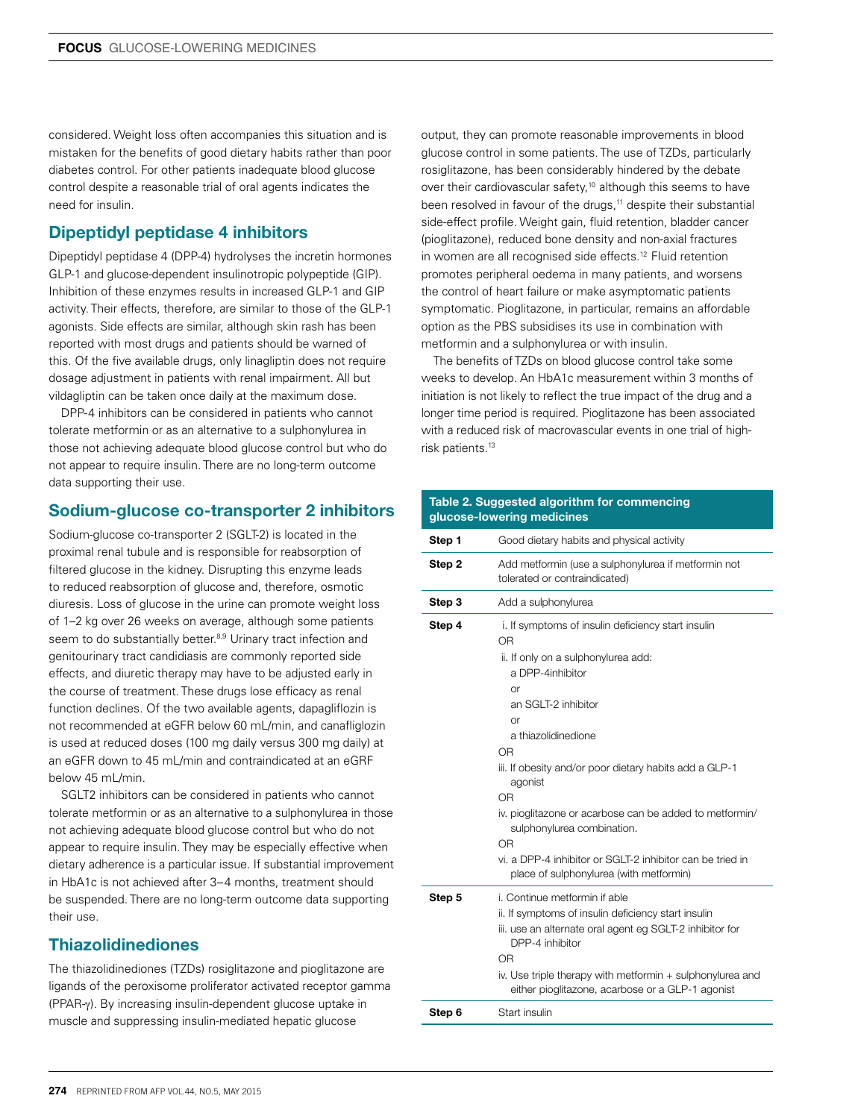considered. Weight loss often accompanies this situation and is mistaken for the benefits of good dietary habits rather than poor diabetes control. For other patients inadequate blood glucose control despite a reasonable trial of oral agents indicates the need for insulin.

## Dipeptidyl peptidase 4 inhibitors

Dipeptidyl peptidase 4 (DPP-4) hydrolyses the incretin hormones GLP-1 and glucose-dependent insulinotropic polypeptide (GIP). Inhibition of these enzymes results in increased GLP-1 and GIP activity. Their effects, therefore, are similar to those of the GLP-1 agonists. Side effects are similar, although skin rash has been reported with most drugs and patients should be warned of this. Of the five available drugs, only linagliptin does not require dosage adjustment in patients with renal impairment. All but vildagliptin can be taken once daily at the maximum dose.

DPP-4 inhibitors can be considered in patients who cannot tolerate metformin or as an alternative to a sulphonylurea in those not achieving adequate blood glucose control but who do not appear to require insulin. There are no long-term outcome data supporting their use.

## Sodium-glucose co-transporter 2 inhibitors

Sodium-glucose co-transporter 2 (SGLT-2) is located in the proximal renal tubule and is responsible for reabsorption of filtered glucose in the kidney. Disrupting this enzyme leads to reduced reabsorption of glucose and, therefore, osmotic diuresis. Loss of glucose in the urine can promote weight loss of 1–2 kg over 26 weeks on average, although some patients seem to do substantially better.<sup>8,9</sup> Urinary tract infection and genitourinary tract candidiasis are commonly reported side effects, and diuretic therapy may have to be adjusted early in the course of treatment. These drugs lose efficacy as renal function declines. Of the two available agents, dapagliflozin is not recommended at eGFR below 60 mL/min, and canafliglozin is used at reduced doses (100 mg daily versus 300 mg daily) at an eGFR down to 45 mL/min and contraindicated at an eGRF below 45 mL/min.

SGLT2 inhibitors can be considered in patients who cannot tolerate metformin or as an alternative to a sulphonylurea in those not achieving adequate blood glucose control but who do not appear to require insulin. They may be especially effective when dietary adherence is a particular issue. If substantial improvement in HbA1c is not achieved after 3–4 months, treatment should be suspended. There are no long-term outcome data supporting their use.

## **Thiazolidinediones**

The thiazolidinediones (TZDs) rosiglitazone and pioglitazone are ligands of the peroxisome proliferator activated receptor gamma (PPAR-γ). By increasing insulin-dependent glucose uptake in muscle and suppressing insulin-mediated hepatic glucose

output, they can promote reasonable improvements in blood glucose control in some patients. The use of TZDs, particularly rosiglitazone, has been considerably hindered by the debate over their cardiovascular safety,<sup>10</sup> although this seems to have been resolved in favour of the drugs,<sup>11</sup> despite their substantial side-effect profile. Weight gain, fluid retention, bladder cancer (pioglitazone), reduced bone density and non-axial fractures in women are all recognised side effects.<sup>12</sup> Fluid retention promotes peripheral oedema in many patients, and worsens the control of heart failure or make asymptomatic patients symptomatic. Pioglitazone, in particular, remains an affordable option as the PBS subsidises its use in combination with metformin and a sulphonylurea or with insulin.

The benefits of TZDs on blood glucose control take some weeks to develop. An HbA1c measurement within 3 months of initiation is not likely to reflect the true impact of the drug and a longer time period is required. Pioglitazone has been associated with a reduced risk of macrovascular events in one trial of highrisk patients.13

#### Table 2. Suggested algorithm for commencing glucose-lowering medicines

| Step 1 | Good dietary habits and physical activity                                                                                                                                                                                                                                                                                                                                                                                                                                         |  |  |
|--------|-----------------------------------------------------------------------------------------------------------------------------------------------------------------------------------------------------------------------------------------------------------------------------------------------------------------------------------------------------------------------------------------------------------------------------------------------------------------------------------|--|--|
| Step 2 | Add metformin (use a sulphonylurea if metformin not<br>tolerated or contraindicated)                                                                                                                                                                                                                                                                                                                                                                                              |  |  |
| Step 3 | Add a sulphonylurea                                                                                                                                                                                                                                                                                                                                                                                                                                                               |  |  |
| Step 4 | i. If symptoms of insulin deficiency start insulin<br>0 <sub>R</sub><br>ii. If only on a sulphonylurea add:<br>a DPP-4inhibitor<br>or<br>an SGLT-2 inhibitor<br>or<br>a thiazolidinedione<br>OR<br>iii. If obesity and/or poor dietary habits add a GLP-1<br>agonist<br>OR<br>iv. pioglitazone or acarbose can be added to metformin/<br>sulphonylurea combination.<br>OR<br>vi. a DPP-4 inhibitor or SGLT-2 inhibitor can be tried in<br>place of sulphonylurea (with metformin) |  |  |
| Step 5 | i. Continue metformin if able<br>ii. If symptoms of insulin deficiency start insulin<br>iii. use an alternate oral agent eg SGLT-2 inhibitor for<br>DPP-4 inhibitor<br>OR<br>iv. Use triple therapy with metformin + sulphonylurea and<br>either pioglitazone, acarbose or a GLP-1 agonist                                                                                                                                                                                        |  |  |
| Step 6 | Start insulin                                                                                                                                                                                                                                                                                                                                                                                                                                                                     |  |  |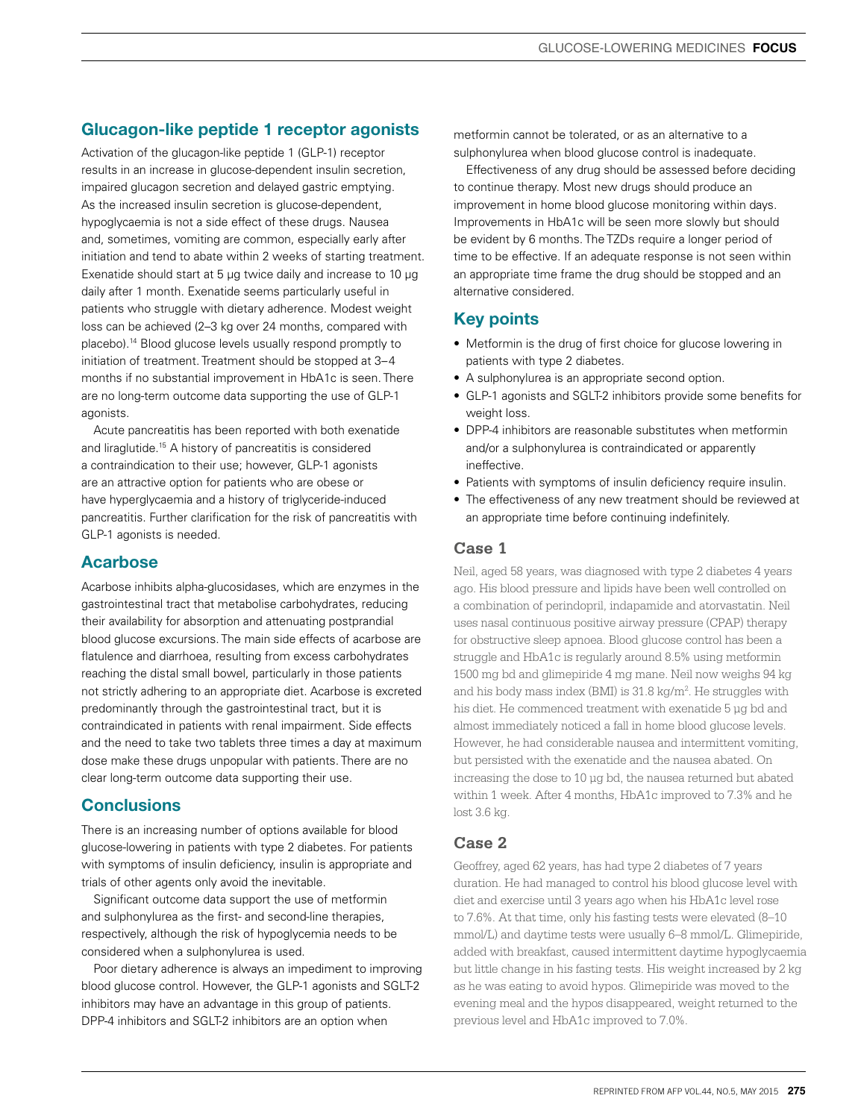# Glucagon-like peptide 1 receptor agonists

Activation of the glucagon-like peptide 1 (GLP-1) receptor results in an increase in glucose-dependent insulin secretion, impaired glucagon secretion and delayed gastric emptying. As the increased insulin secretion is glucose-dependent, hypoglycaemia is not a side effect of these drugs. Nausea and, sometimes, vomiting are common, especially early after initiation and tend to abate within 2 weeks of starting treatment. Exenatide should start at 5 µg twice daily and increase to 10 µg daily after 1 month. Exenatide seems particularly useful in patients who struggle with dietary adherence. Modest weight loss can be achieved (2–3 kg over 24 months, compared with placebo).14 Blood glucose levels usually respond promptly to initiation of treatment. Treatment should be stopped at 3–4 months if no substantial improvement in HbA1c is seen. There are no long-term outcome data supporting the use of GLP-1 agonists.

Acute pancreatitis has been reported with both exenatide and liraglutide.15 A history of pancreatitis is considered a contraindication to their use; however, GLP-1 agonists are an attractive option for patients who are obese or have hyperglycaemia and a history of triglyceride-induced pancreatitis. Further clarification for the risk of pancreatitis with GLP-1 agonists is needed.

## Acarbose

Acarbose inhibits alpha-glucosidases, which are enzymes in the gastrointestinal tract that metabolise carbohydrates, reducing their availability for absorption and attenuating postprandial blood glucose excursions. The main side effects of acarbose are flatulence and diarrhoea, resulting from excess carbohydrates reaching the distal small bowel, particularly in those patients not strictly adhering to an appropriate diet. Acarbose is excreted predominantly through the gastrointestinal tract, but it is contraindicated in patients with renal impairment. Side effects and the need to take two tablets three times a day at maximum dose make these drugs unpopular with patients. There are no clear long-term outcome data supporting their use.

## **Conclusions**

There is an increasing number of options available for blood glucose-lowering in patients with type 2 diabetes. For patients with symptoms of insulin deficiency, insulin is appropriate and trials of other agents only avoid the inevitable.

Significant outcome data support the use of metformin and sulphonylurea as the first- and second-line therapies, respectively, although the risk of hypoglycemia needs to be considered when a sulphonylurea is used.

Poor dietary adherence is always an impediment to improving blood glucose control. However, the GLP-1 agonists and SGLT-2 inhibitors may have an advantage in this group of patients. DPP-4 inhibitors and SGLT-2 inhibitors are an option when

metformin cannot be tolerated, or as an alternative to a sulphonylurea when blood glucose control is inadequate.

Effectiveness of any drug should be assessed before deciding to continue therapy. Most new drugs should produce an improvement in home blood glucose monitoring within days. Improvements in HbA1c will be seen more slowly but should be evident by 6 months. The TZDs require a longer period of time to be effective. If an adequate response is not seen within an appropriate time frame the drug should be stopped and an alternative considered.

# Key points

- Metformin is the drug of first choice for glucose lowering in patients with type 2 diabetes.
- A sulphonylurea is an appropriate second option.
- GLP-1 agonists and SGLT-2 inhibitors provide some benefits for weight loss.
- DPP-4 inhibitors are reasonable substitutes when metformin and/or a sulphonylurea is contraindicated or apparently ineffective.
- Patients with symptoms of insulin deficiency require insulin.
- The effectiveness of any new treatment should be reviewed at an appropriate time before continuing indefinitely.

## **Case 1**

Neil, aged 58 years, was diagnosed with type 2 diabetes 4 years ago. His blood pressure and lipids have been well controlled on a combination of perindopril, indapamide and atorvastatin. Neil uses nasal continuous positive airway pressure (CPAP) therapy for obstructive sleep apnoea. Blood glucose control has been a struggle and HbA1c is regularly around 8.5% using metformin 1500 mg bd and glimepiride 4 mg mane. Neil now weighs 94 kg and his body mass index (BMI) is  $31.8 \text{ kg/m}^2$ . He struggles with his diet. He commenced treatment with exenatide 5 ug bd and almost immediately noticed a fall in home blood glucose levels. However, he had considerable nausea and intermittent vomiting, but persisted with the exenatide and the nausea abated. On increasing the dose to 10 µg bd, the nausea returned but abated within 1 week. After 4 months, HbA1c improved to 7.3% and he lost 3.6 kg.

## **Case 2**

Geoffrey, aged 62 years, has had type 2 diabetes of 7 years duration. He had managed to control his blood glucose level with diet and exercise until 3 years ago when his HbA1c level rose to 7.6%. At that time, only his fasting tests were elevated (8–10 mmol/L) and daytime tests were usually 6–8 mmol/L. Glimepiride, added with breakfast, caused intermittent daytime hypoglycaemia but little change in his fasting tests. His weight increased by 2 kg as he was eating to avoid hypos. Glimepiride was moved to the evening meal and the hypos disappeared, weight returned to the previous level and HbA1c improved to 7.0%.